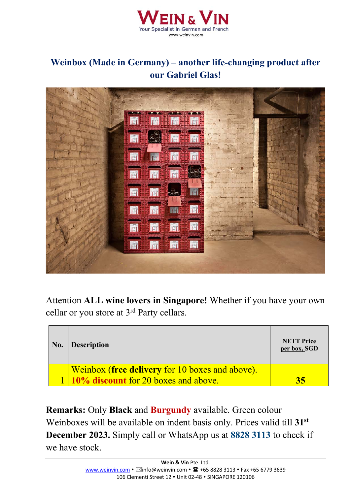

## **Weinbox (Made in Germany) – another life-changing product after our Gabriel Glas!**



Attention **ALL wine lovers in Singapore!** Whether if you have your own cellar or you store at 3rd Party cellars.

| No. | <b>Description</b>                              | <b>NETT Price</b><br>per box, SGD |
|-----|-------------------------------------------------|-----------------------------------|
|     | Weinbox (free delivery for 10 boxes and above). |                                   |
|     | 1 10% discount for 20 boxes and above.          |                                   |

**Remarks:** Only **Black** and **Burgundy** available. Green colour Weinboxes will be available on indent basis only. Prices valid till **31st December 2023.** Simply call or WhatsApp us at **8828 3113** to check if we have stock.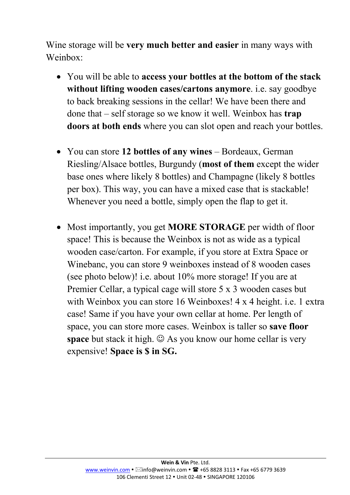Wine storage will be **very much better and easier** in many ways with Weinbox:

- You will be able to **access your bottles at the bottom of the stack without lifting wooden cases/cartons anymore**. i.e. say goodbye to back breaking sessions in the cellar! We have been there and done that – self storage so we know it well. Weinbox has **trap doors at both ends** where you can slot open and reach your bottles.
- You can store **12 bottles of any wines** Bordeaux, German Riesling/Alsace bottles, Burgundy (**most of them** except the wider base ones where likely 8 bottles) and Champagne (likely 8 bottles per box). This way, you can have a mixed case that is stackable! Whenever you need a bottle, simply open the flap to get it.
- Most importantly, you get **MORE STORAGE** per width of floor space! This is because the Weinbox is not as wide as a typical wooden case/carton. For example, if you store at Extra Space or Winebanc, you can store 9 weinboxes instead of 8 wooden cases (see photo below)! i.e. about 10% more storage! If you are at Premier Cellar, a typical cage will store 5 x 3 wooden cases but with Weinbox you can store 16 Weinboxes! 4 x 4 height. i.e. 1 extra case! Same if you have your own cellar at home. Per length of space, you can store more cases. Weinbox is taller so **save floor space** but stack it high.  $\odot$  As you know our home cellar is very expensive! **Space is \$ in SG.**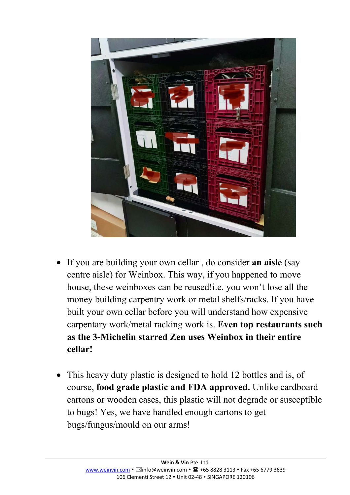

- If you are building your own cellar , do consider **an aisle** (say centre aisle) for Weinbox. This way, if you happened to move house, these weinboxes can be reused!*i.e.* you won't lose all the money building carpentry work or metal shelfs/racks. If you have built your own cellar before you will understand how expensive carpentary work/metal racking work is. **Even top restaurants such as the 3-Michelin starred Zen uses Weinbox in their entire cellar!**
- This heavy duty plastic is designed to hold 12 bottles and is, of course, **food grade plastic and FDA approved.** Unlike cardboard cartons or wooden cases, this plastic will not degrade or susceptible to bugs! Yes, we have handled enough cartons to get bugs/fungus/mould on our arms!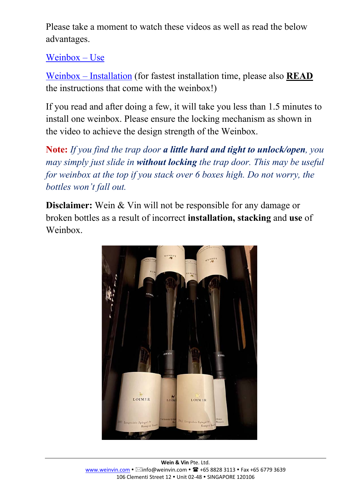Please take a moment to watch these videos as well as read the below advantages.

[Weinbox –](https://www.youtube.com/watch?v=a7HKJ7I_jDU) Use

Weinbox – [Installation](https://www.youtube.com/watch?v=lNlfSyjK4yk) (for fastest installation time, please also **READ**  the instructions that come with the weinbox!)

If you read and after doing a few, it will take you less than 1.5 minutes to install one weinbox. Please ensure the locking mechanism as shown in the video to achieve the design strength of the Weinbox.

**Note:** *If you find the trap door a little hard and tight to unlock/open, you may simply just slide in without locking the trap door. This may be useful for weinbox at the top if you stack over 6 boxes high. Do not worry, the bottles won't fall out.*

**Disclaimer:** Wein & Vin will not be responsible for any damage or broken bottles as a result of incorrect **installation, stacking** and **use** of Weinbox.